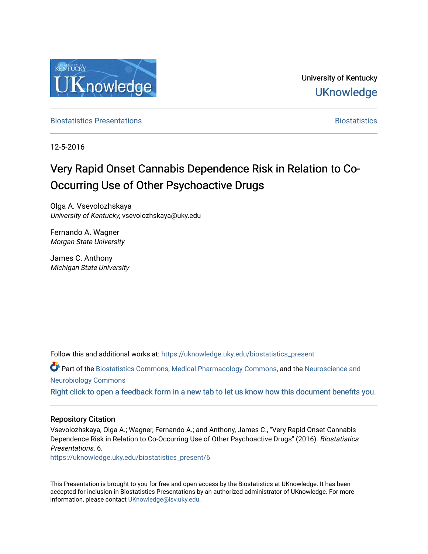

University of Kentucky **UKnowledge** 

**[Biostatistics Presentations](https://uknowledge.uky.edu/biostatistics_present) Biostatistics Biostatistics** 

12-5-2016

### Very Rapid Onset Cannabis Dependence Risk in Relation to Co-Occurring Use of Other Psychoactive Drugs

Olga A. Vsevolozhskaya University of Kentucky, vsevolozhskaya@uky.edu

Fernando A. Wagner Morgan State University

James C. Anthony Michigan State University

Follow this and additional works at: [https://uknowledge.uky.edu/biostatistics\\_present](https://uknowledge.uky.edu/biostatistics_present?utm_source=uknowledge.uky.edu%2Fbiostatistics_present%2F6&utm_medium=PDF&utm_campaign=PDFCoverPages) 

Part of the [Biostatistics Commons,](http://network.bepress.com/hgg/discipline/210?utm_source=uknowledge.uky.edu%2Fbiostatistics_present%2F6&utm_medium=PDF&utm_campaign=PDFCoverPages) [Medical Pharmacology Commons,](http://network.bepress.com/hgg/discipline/960?utm_source=uknowledge.uky.edu%2Fbiostatistics_present%2F6&utm_medium=PDF&utm_campaign=PDFCoverPages) and the [Neuroscience and](http://network.bepress.com/hgg/discipline/55?utm_source=uknowledge.uky.edu%2Fbiostatistics_present%2F6&utm_medium=PDF&utm_campaign=PDFCoverPages) [Neurobiology Commons](http://network.bepress.com/hgg/discipline/55?utm_source=uknowledge.uky.edu%2Fbiostatistics_present%2F6&utm_medium=PDF&utm_campaign=PDFCoverPages) 

[Right click to open a feedback form in a new tab to let us know how this document benefits you.](https://uky.az1.qualtrics.com/jfe/form/SV_9mq8fx2GnONRfz7)

### Repository Citation

Vsevolozhskaya, Olga A.; Wagner, Fernando A.; and Anthony, James C., "Very Rapid Onset Cannabis Dependence Risk in Relation to Co-Occurring Use of Other Psychoactive Drugs" (2016). Biostatistics Presentations. 6.

[https://uknowledge.uky.edu/biostatistics\\_present/6](https://uknowledge.uky.edu/biostatistics_present/6?utm_source=uknowledge.uky.edu%2Fbiostatistics_present%2F6&utm_medium=PDF&utm_campaign=PDFCoverPages) 

This Presentation is brought to you for free and open access by the Biostatistics at UKnowledge. It has been accepted for inclusion in Biostatistics Presentations by an authorized administrator of UKnowledge. For more information, please contact [UKnowledge@lsv.uky.edu](mailto:UKnowledge@lsv.uky.edu).